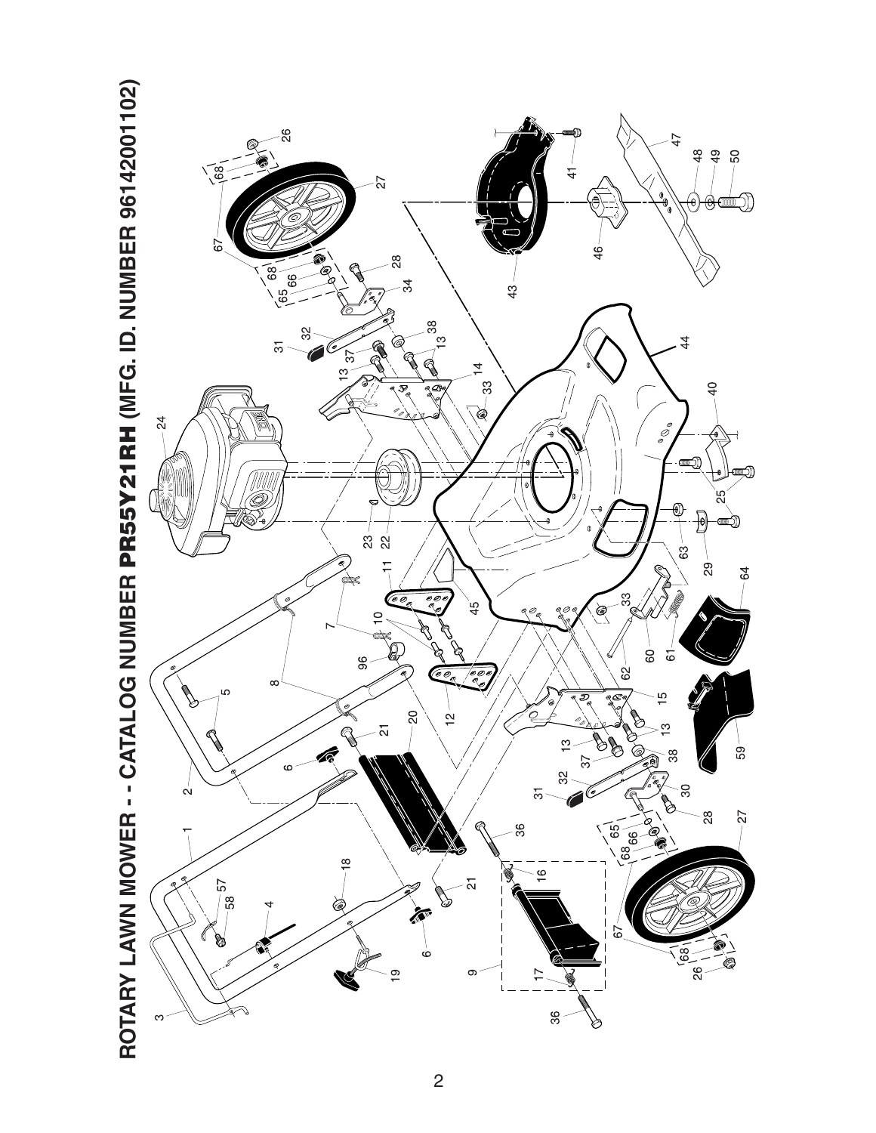

ROTARY LAWN MOWER - - CATALOG NUMBER PR55Y21RH (MFG. ID. NUMBER 96142001102)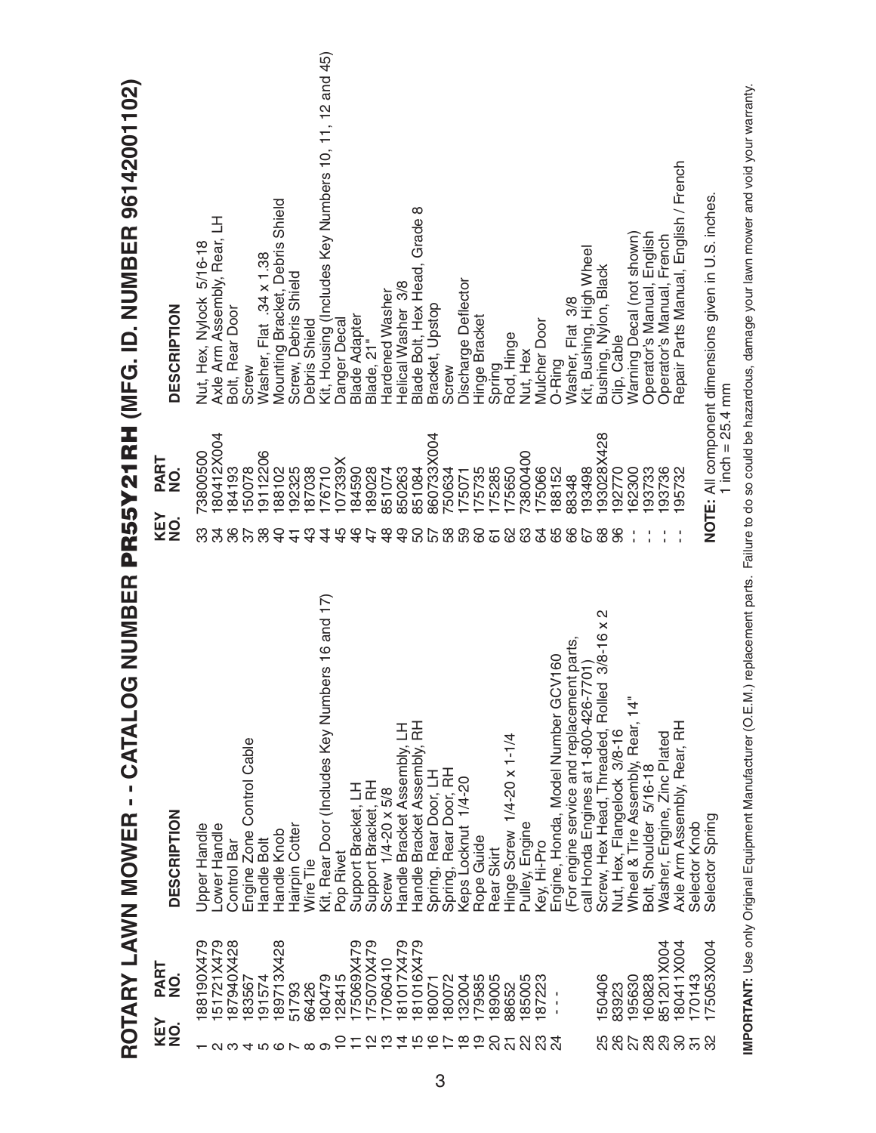|                      |               | ROTARY LAWN MOWER - - CATALOG NUMBER                            |                |                    | PR55Y21RH (MFG. ID. NUMBER 96142001102)                 |
|----------------------|---------------|-----------------------------------------------------------------|----------------|--------------------|---------------------------------------------------------|
| <b>KEY</b><br>NO.    | PART<br>NO.   | DESCRIPTION                                                     | KEY<br>NO.     | PART<br>NO.        | <b>DESCRIPTION</b>                                      |
|                      | 88190X479     | Upper Handle                                                    | ္က             | 73800500           | Nut, Hex, Nylock 5/16-18                                |
| $\mathbf{\Omega}$    | 51721X479     | Lower Handle                                                    | 34             | 80412X004          | Axle Arm Assembly, Rear, LH                             |
|                      | 87940X428     | Control Bar                                                     | 36             | 84193              | Bolt, Rear Door                                         |
|                      | 83567         | Engine Zone Control Cable                                       | 38             | 50078              | Screw                                                   |
|                      | 191574        | Handle Bolt                                                     |                | 9112206            | Washer, Flat .34 x 1.38                                 |
|                      | 189713X428    | Handle Knob                                                     | $\Theta$       | 88102              | Mounting Bracket, Debris Shield                         |
|                      | 51793         | Hairpin Cotter                                                  | $\frac{4}{1}$  | 192325             | Screw, Debris Shield                                    |
| $0.4700 \times 0.00$ | 66426         | Wire Tie                                                        | ු<br>අ         | 87038              | Debris Shield                                           |
|                      | 180479        | Kit, Rear Door (Includes Key Numbers 16 and 17)                 | 4              | 76710              | Kit, Housing (Includes Key Numbers 10, 11, 12 and 45)   |
|                      | 128415        | Pop Rivet                                                       | 45             | X68220             | Danger Decal                                            |
|                      | 75069X479     | Support Bracket, LH                                             | $\frac{6}{4}$  | 84590              | <b>Blade Adapter</b>                                    |
|                      | 75070X479     | Support Bracket, RH                                             |                | 89028              | Blade, 21"                                              |
| Q W 4                | 7060410       | Screw 1/4-20 x 5/8                                              | $\frac{8}{4}$  | 851074             | Hardened Washer                                         |
|                      | 81017X479     | Handle Bracket Assembly, LH                                     | $\frac{9}{4}$  | 850263             | Helical Washer 3/8                                      |
| 1567658              | 81016X479     | Handle Bracket Assembly, RH                                     | 50             | 851084             | Blade Bolt, Hex Head, Grade 8                           |
|                      | 80071         | Spring, Rear Door, LH                                           |                | 860733X004         | Bracket, Upstop                                         |
|                      | 80072         | Spring, Rear Door, RH                                           | 588            | '50634             | Screw                                                   |
|                      | 132004        | Keps Locknut 1/4-20                                             |                | 175071             | Discharge Deflector                                     |
|                      | 179585        | Rope Guide                                                      | 60             | 175735             | Hinge Bracket                                           |
|                      | 189005        | Rear Skirt                                                      | $\overline{6}$ | 75285              |                                                         |
| $\overline{\Omega}$  | 88652         | Hinge Screw 1/4-20 x 1-1/4                                      | 82             | 75650              | Spring<br>Rod, Hinge                                    |
| 22                   | 185005        | Pulley, Engine                                                  | යි             | 3800400            | Nut, Hex                                                |
| <u>ಇ ನ</u>           | 187223        | Key, Hi-Pro                                                     | 64             | 75066              | <b>Mulcher Door</b>                                     |
|                      | $\frac{1}{4}$ | Engine, Honda, Model Number GCV160                              | 65             | 88152              | O-Ring                                                  |
|                      |               | For engine service and replacement parts,                       | 66             | 88348              | Washer, Flat 3/8                                        |
|                      |               | call Honda Engines at 1-800-426-7701)                           | 67             | 93498              | Kit, Bushing, High Wheel                                |
|                      | 150406        | $\mathbf{\Omega}$<br>Screw, Hex Head, Threaded, Rolled 3/8-16 x | 89             | 93028X428          | Bushing, Nylon, Black                                   |
|                      | 83923         | Nut, Hex, Flangelock 3/8-16                                     | 96             | 92770              | Clip, Cable                                             |
|                      | 195630        |                                                                 |                | 62300              |                                                         |
|                      | 160828        | Wheel & Tire Assembly, Rear, 14"<br>Bolt, Shoulder 5/16-18      |                | 93733              | Warning Decal (not shown)<br>Operator's Manual, English |
|                      | 851201X004    | Washer, Engine, Zinc Plated                                     |                | 93736              | Operator's Manual, French                               |
| 8789952              | 180411X004    | Axle Arm Assembly, Rear, RH                                     |                | 95732              | Repair Parts Manual, English / French                   |
|                      | 170143        | Selector Knob                                                   |                |                    |                                                         |
|                      | 175053X004    | Selector Spring                                                 |                | 1 inch = $25.4$ mm | NOTE: All component dimensions given in U.S. inches     |
|                      |               |                                                                 |                |                    |                                                         |

IMPORTANT: Use only Original Equipment Manufacturer (O.E.M.) replacement parts. Failure to do so could be hazardous, damage your lawn mower and void your warranty. **IMPORTANT:** Use only Original Equipment Manufacturer (O.E.M.) replacement parts. Failure to do so could be hazardous, damage your lawn mower and void your warranty.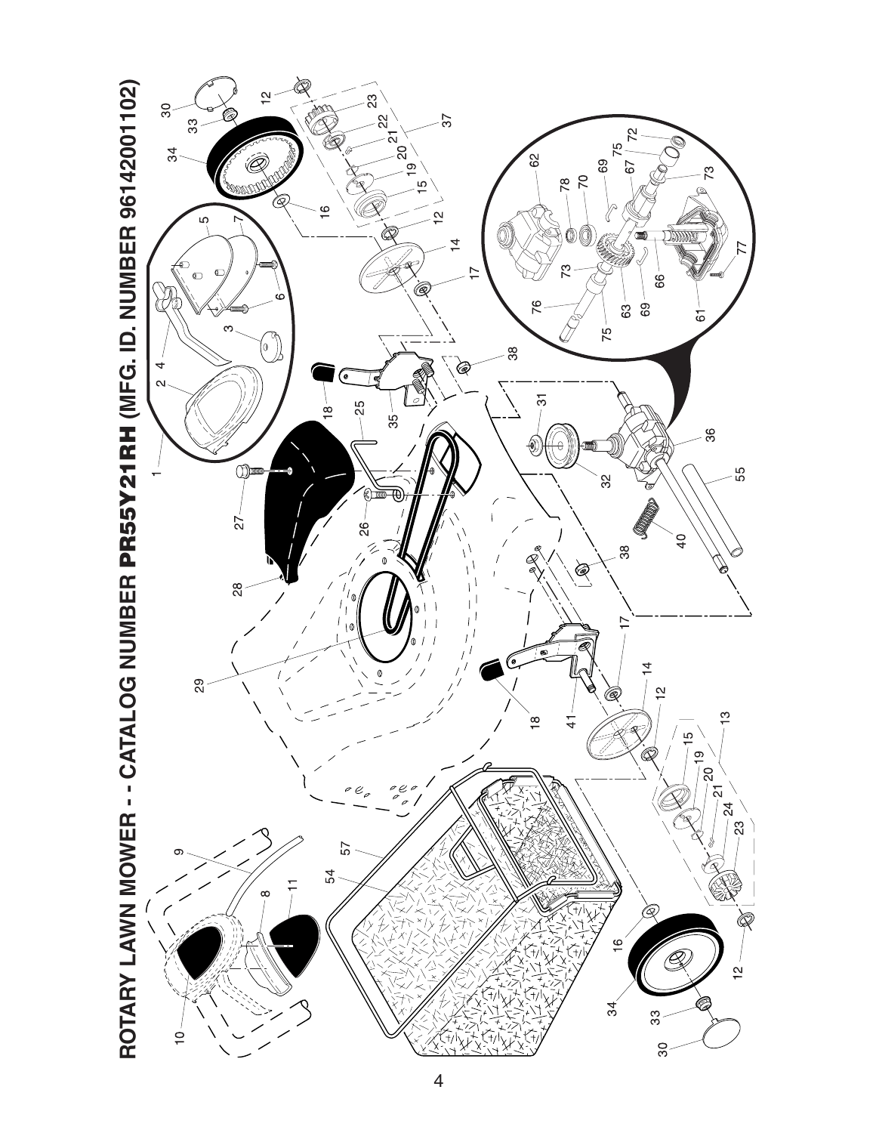